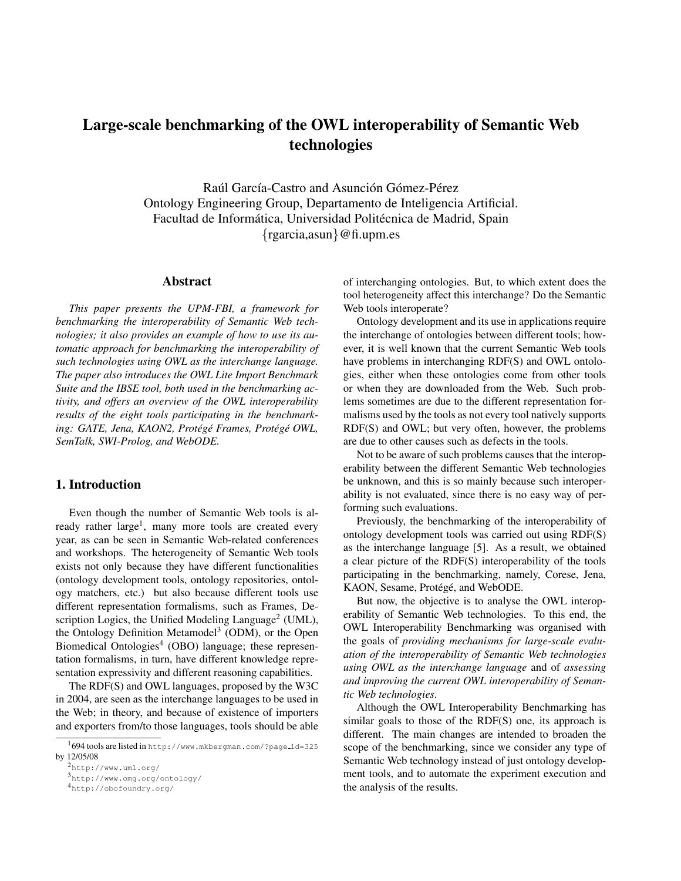# Large-scale benchmarking of the OWL interoperability of Semantic Web technologies

Raúl García-Castro and Asunción Gómez-Pérez Ontology Engineering Group, Departamento de Inteligencia Artificial. Facultad de Informática, Universidad Politécnica de Madrid, Spain {rgarcia,asun}@fi.upm.es

#### Abstract

*This paper presents the UPM-FBI, a framework for benchmarking the interoperability of Semantic Web technologies; it also provides an example of how to use its automatic approach for benchmarking the interoperability of such technologies using OWL as the interchange language. The paper also introduces the OWL Lite Import Benchmark Suite and the IBSE tool, both used in the benchmarking activity, and offers an overview of the OWL interoperability results of the eight tools participating in the benchmarking: GATE, Jena, KAON2, Proteg´ e Frames, Prot ´ eg´ e OWL, ´ SemTalk, SWI-Prolog, and WebODE.*

#### 1. Introduction

Even though the number of Semantic Web tools is already rather large<sup>1</sup>, many more tools are created every year, as can be seen in Semantic Web-related conferences and workshops. The heterogeneity of Semantic Web tools exists not only because they have different functionalities (ontology development tools, ontology repositories, ontology matchers, etc.) but also because different tools use different representation formalisms, such as Frames, Description Logics, the Unified Modeling Language<sup>2</sup> (UML), the Ontology Definition Metamodel<sup>3</sup> (ODM), or the Open Biomedical Ontologies<sup>4</sup> (OBO) language; these representation formalisms, in turn, have different knowledge representation expressivity and different reasoning capabilities.

The RDF(S) and OWL languages, proposed by the W3C in 2004, are seen as the interchange languages to be used in the Web; in theory, and because of existence of importers and exporters from/to those languages, tools should be able

<sup>2</sup>http://www.uml.org/

<sup>3</sup>http://www.omg.org/ontology/ <sup>4</sup>http://obofoundry.org/

of interchanging ontologies. But, to which extent does the tool heterogeneity affect this interchange? Do the Semantic Web tools interoperate?

Ontology development and its use in applications require the interchange of ontologies between different tools; however, it is well known that the current Semantic Web tools have problems in interchanging RDF(S) and OWL ontologies, either when these ontologies come from other tools or when they are downloaded from the Web. Such problems sometimes are due to the different representation formalisms used by the tools as not every tool natively supports RDF(S) and OWL; but very often, however, the problems are due to other causes such as defects in the tools.

Not to be aware of such problems causes that the interoperability between the different Semantic Web technologies be unknown, and this is so mainly because such interoperability is not evaluated, since there is no easy way of performing such evaluations.

Previously, the benchmarking of the interoperability of ontology development tools was carried out using RDF(S) as the interchange language [5]. As a result, we obtained a clear picture of the RDF(S) interoperability of the tools participating in the benchmarking, namely, Corese, Jena, KAON, Sesame, Protégé, and WebODE.

But now, the objective is to analyse the OWL interoperability of Semantic Web technologies. To this end, the OWL Interoperability Benchmarking was organised with the goals of *providing mechanisms for large-scale evaluation of the interoperability of Semantic Web technologies using OWL as the interchange language* and of *assessing and improving the current OWL interoperability of Semantic Web technologies*.

Although the OWL Interoperability Benchmarking has similar goals to those of the RDF(S) one, its approach is different. The main changes are intended to broaden the scope of the benchmarking, since we consider any type of Semantic Web technology instead of just ontology development tools, and to automate the experiment execution and the analysis of the results.

<sup>1</sup>694 tools are listed in http://www.mkbergman.com/?page id=325 by 12/05/08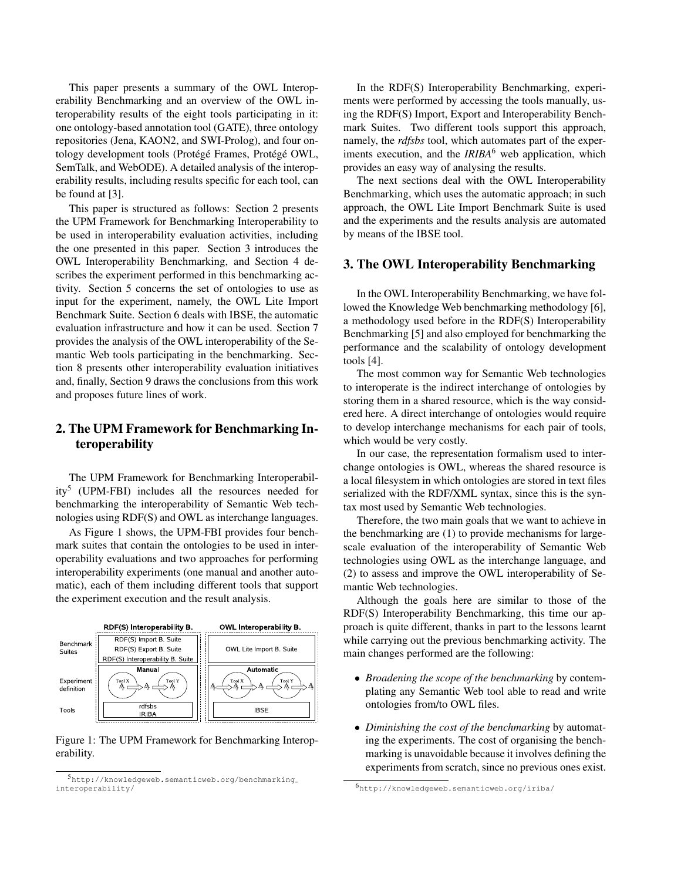This paper presents a summary of the OWL Interoperability Benchmarking and an overview of the OWL interoperability results of the eight tools participating in it: one ontology-based annotation tool (GATE), three ontology repositories (Jena, KAON2, and SWI-Prolog), and four ontology development tools (Protégé Frames, Protégé OWL, SemTalk, and WebODE). A detailed analysis of the interoperability results, including results specific for each tool, can be found at [3].

This paper is structured as follows: Section 2 presents the UPM Framework for Benchmarking Interoperability to be used in interoperability evaluation activities, including the one presented in this paper. Section 3 introduces the OWL Interoperability Benchmarking, and Section 4 describes the experiment performed in this benchmarking activity. Section 5 concerns the set of ontologies to use as input for the experiment, namely, the OWL Lite Import Benchmark Suite. Section 6 deals with IBSE, the automatic evaluation infrastructure and how it can be used. Section 7 provides the analysis of the OWL interoperability of the Semantic Web tools participating in the benchmarking. Section 8 presents other interoperability evaluation initiatives and, finally, Section 9 draws the conclusions from this work and proposes future lines of work.

# 2. The UPM Framework for Benchmarking Interoperability

The UPM Framework for Benchmarking Interoperability<sup>5</sup> (UPM-FBI) includes all the resources needed for benchmarking the interoperability of Semantic Web technologies using RDF(S) and OWL as interchange languages.

As Figure 1 shows, the UPM-FBI provides four benchmark suites that contain the ontologies to be used in interoperability evaluations and two approaches for performing interoperability experiments (one manual and another automatic), each of them including different tools that support the experiment execution and the result analysis.



Figure 1: The UPM Framework for Benchmarking Interoperability.

In the RDF(S) Interoperability Benchmarking, experiments were performed by accessing the tools manually, using the RDF(S) Import, Export and Interoperability Benchmark Suites. Two different tools support this approach, namely, the *rdfsbs* tool, which automates part of the experiments execution, and the *IRIBA*<sup>6</sup> web application, which provides an easy way of analysing the results.

The next sections deal with the OWL Interoperability Benchmarking, which uses the automatic approach; in such approach, the OWL Lite Import Benchmark Suite is used and the experiments and the results analysis are automated by means of the IBSE tool.

#### 3. The OWL Interoperability Benchmarking

In the OWL Interoperability Benchmarking, we have followed the Knowledge Web benchmarking methodology [6], a methodology used before in the RDF(S) Interoperability Benchmarking [5] and also employed for benchmarking the performance and the scalability of ontology development tools [4].

The most common way for Semantic Web technologies to interoperate is the indirect interchange of ontologies by storing them in a shared resource, which is the way considered here. A direct interchange of ontologies would require to develop interchange mechanisms for each pair of tools, which would be very costly.

In our case, the representation formalism used to interchange ontologies is OWL, whereas the shared resource is a local filesystem in which ontologies are stored in text files serialized with the RDF/XML syntax, since this is the syntax most used by Semantic Web technologies.

Therefore, the two main goals that we want to achieve in the benchmarking are (1) to provide mechanisms for largescale evaluation of the interoperability of Semantic Web technologies using OWL as the interchange language, and (2) to assess and improve the OWL interoperability of Semantic Web technologies.

Although the goals here are similar to those of the RDF(S) Interoperability Benchmarking, this time our approach is quite different, thanks in part to the lessons learnt while carrying out the previous benchmarking activity. The main changes performed are the following:

- *Broadening the scope of the benchmarking* by contemplating any Semantic Web tool able to read and write ontologies from/to OWL files.
- *Diminishing the cost of the benchmarking* by automating the experiments. The cost of organising the benchmarking is unavoidable because it involves defining the experiments from scratch, since no previous ones exist.

<sup>5</sup>http://knowledgeweb.semanticweb.org/benchmarking interoperability/

<sup>6</sup>http://knowledgeweb.semanticweb.org/iriba/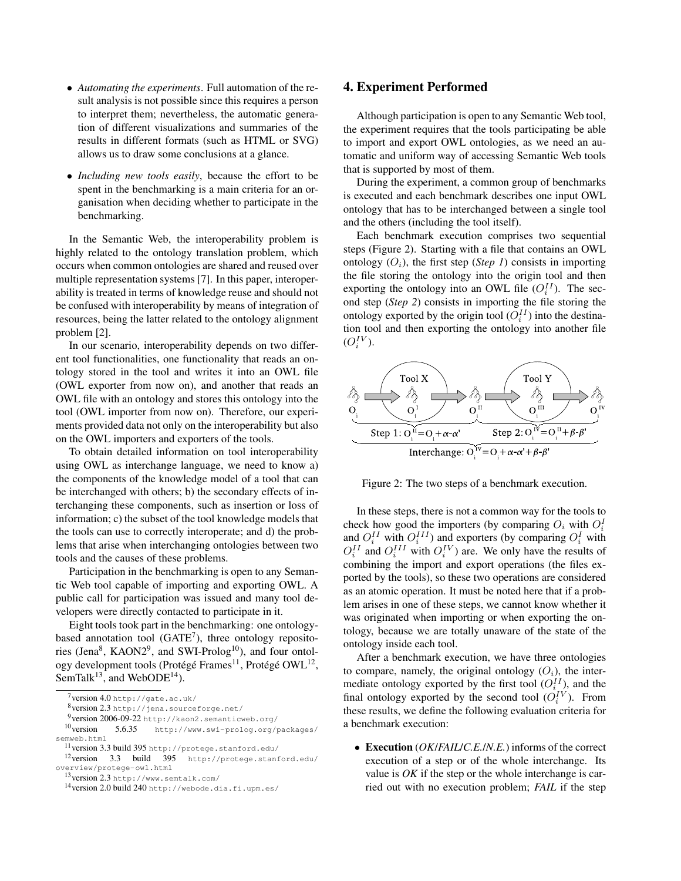- *Automating the experiments*. Full automation of the result analysis is not possible since this requires a person to interpret them; nevertheless, the automatic generation of different visualizations and summaries of the results in different formats (such as HTML or SVG) allows us to draw some conclusions at a glance.
- *Including new tools easily*, because the effort to be spent in the benchmarking is a main criteria for an organisation when deciding whether to participate in the benchmarking.

In the Semantic Web, the interoperability problem is highly related to the ontology translation problem, which occurs when common ontologies are shared and reused over multiple representation systems [7]. In this paper, interoperability is treated in terms of knowledge reuse and should not be confused with interoperability by means of integration of resources, being the latter related to the ontology alignment problem [2].

In our scenario, interoperability depends on two different tool functionalities, one functionality that reads an ontology stored in the tool and writes it into an OWL file (OWL exporter from now on), and another that reads an OWL file with an ontology and stores this ontology into the tool (OWL importer from now on). Therefore, our experiments provided data not only on the interoperability but also on the OWL importers and exporters of the tools.

To obtain detailed information on tool interoperability using OWL as interchange language, we need to know a) the components of the knowledge model of a tool that can be interchanged with others; b) the secondary effects of interchanging these components, such as insertion or loss of information; c) the subset of the tool knowledge models that the tools can use to correctly interoperate; and d) the problems that arise when interchanging ontologies between two tools and the causes of these problems.

Participation in the benchmarking is open to any Semantic Web tool capable of importing and exporting OWL. A public call for participation was issued and many tool developers were directly contacted to participate in it.

Eight tools took part in the benchmarking: one ontologybased annotation tool (GATE<sup>7</sup>), three ontology repositories (Jena<sup>8</sup>, KAON2<sup>9</sup>, and SWI-Prolog<sup>10</sup>), and four ontology development tools (Protégé Frames<sup>11</sup>, Protégé OWL<sup>12</sup>, SemTalk<sup>13</sup>, and WebODE<sup>14</sup>).

9 version 2006-09-22 http://kaon2.semanticweb.org/<br> $10$  version 5.6.35 http://www.swi-prolog.org/

semweb.html

# 4. Experiment Performed

Although participation is open to any Semantic Web tool, the experiment requires that the tools participating be able to import and export OWL ontologies, as we need an automatic and uniform way of accessing Semantic Web tools that is supported by most of them.

During the experiment, a common group of benchmarks is executed and each benchmark describes one input OWL ontology that has to be interchanged between a single tool and the others (including the tool itself).

Each benchmark execution comprises two sequential steps (Figure 2). Starting with a file that contains an OWL ontology  $(O_i)$ , the first step (*Step 1*) consists in importing the file storing the ontology into the origin tool and then exporting the ontology into an OWL file  $(O_i^{II})$ . The second step (*Step 2*) consists in importing the file storing the ontology exported by the origin tool  $(O_i^{II})$  into the destination tool and then exporting the ontology into another file  $(O_i^{IV})$ .



Figure 2: The two steps of a benchmark execution.

In these steps, there is not a common way for the tools to check how good the importers (by comparing  $O_i$  with  $O_i^I$ and  $O_i^{II}$  with  $O_i^{III}$ ) and exporters (by comparing  $O_i^{I}$  with  $O_i^{II}$  and  $O_i^{III}$  with  $O_i^{IV}$ ) are. We only have the results of combining the import and export operations (the files exported by the tools), so these two operations are considered as an atomic operation. It must be noted here that if a problem arises in one of these steps, we cannot know whether it was originated when importing or when exporting the ontology, because we are totally unaware of the state of the ontology inside each tool.

After a benchmark execution, we have three ontologies to compare, namely, the original ontology  $(O_i)$ , the intermediate ontology exported by the first tool  $(O_i^{II})$ , and the final ontology exported by the second tool  $(O_i^{\{V\}})$ . From these results, we define the following evaluation criteria for a benchmark execution:

• Execution (*OK*/*FAIL*/*C.E.*/*N.E.*) informs of the correct execution of a step or of the whole interchange. Its value is *OK* if the step or the whole interchange is carried out with no execution problem; *FAIL* if the step

<sup>7</sup>version 4.0 http://gate.ac.uk/

<sup>8</sup>version 2.3 http://jena.sourceforge.net/

<sup>5.6.35</sup> http://www.swi-prolog.org/packages/

<sup>11</sup>version 3.3 build 395 http://protege.stanford.edu/

<sup>12</sup>version 3.3 build 395 http://protege.stanford.edu/ overview/protege-owl.html

<sup>13</sup>version 2.3 http://www.semtalk.com/

<sup>14</sup>version 2.0 build 240 http://webode.dia.fi.upm.es/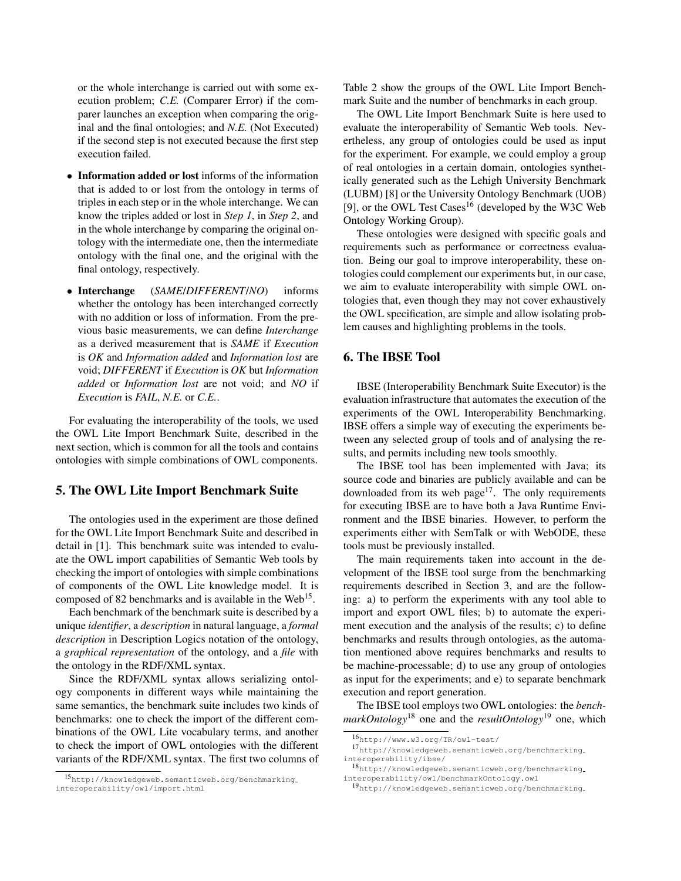or the whole interchange is carried out with some execution problem; *C.E.* (Comparer Error) if the comparer launches an exception when comparing the original and the final ontologies; and *N.E.* (Not Executed) if the second step is not executed because the first step execution failed.

- Information added or lost informs of the information that is added to or lost from the ontology in terms of triples in each step or in the whole interchange. We can know the triples added or lost in *Step 1*, in *Step 2*, and in the whole interchange by comparing the original ontology with the intermediate one, then the intermediate ontology with the final one, and the original with the final ontology, respectively.
- Interchange (*SAME*/*DIFFERENT*/*NO*) informs whether the ontology has been interchanged correctly with no addition or loss of information. From the previous basic measurements, we can define *Interchange* as a derived measurement that is *SAME* if *Execution* is *OK* and *Information added* and *Information lost* are void; *DIFFERENT* if *Execution* is *OK* but *Information added* or *Information lost* are not void; and *NO* if *Execution* is *FAIL*, *N.E.* or *C.E.*.

For evaluating the interoperability of the tools, we used the OWL Lite Import Benchmark Suite, described in the next section, which is common for all the tools and contains ontologies with simple combinations of OWL components.

# 5. The OWL Lite Import Benchmark Suite

The ontologies used in the experiment are those defined for the OWL Lite Import Benchmark Suite and described in detail in [1]. This benchmark suite was intended to evaluate the OWL import capabilities of Semantic Web tools by checking the import of ontologies with simple combinations of components of the OWL Lite knowledge model. It is composed of 82 benchmarks and is available in the Web<sup>15</sup>.

Each benchmark of the benchmark suite is described by a unique *identifier*, a *description* in natural language, a *formal description* in Description Logics notation of the ontology, a *graphical representation* of the ontology, and a *file* with the ontology in the RDF/XML syntax.

Since the RDF/XML syntax allows serializing ontology components in different ways while maintaining the same semantics, the benchmark suite includes two kinds of benchmarks: one to check the import of the different combinations of the OWL Lite vocabulary terms, and another to check the import of OWL ontologies with the different variants of the RDF/XML syntax. The first two columns of

Table 2 show the groups of the OWL Lite Import Benchmark Suite and the number of benchmarks in each group.

The OWL Lite Import Benchmark Suite is here used to evaluate the interoperability of Semantic Web tools. Nevertheless, any group of ontologies could be used as input for the experiment. For example, we could employ a group of real ontologies in a certain domain, ontologies synthetically generated such as the Lehigh University Benchmark (LUBM) [8] or the University Ontology Benchmark (UOB) [9], or the OWL Test Cases<sup>16</sup> (developed by the W3C Web Ontology Working Group).

These ontologies were designed with specific goals and requirements such as performance or correctness evaluation. Being our goal to improve interoperability, these ontologies could complement our experiments but, in our case, we aim to evaluate interoperability with simple OWL ontologies that, even though they may not cover exhaustively the OWL specification, are simple and allow isolating problem causes and highlighting problems in the tools.

# 6. The IBSE Tool

IBSE (Interoperability Benchmark Suite Executor) is the evaluation infrastructure that automates the execution of the experiments of the OWL Interoperability Benchmarking. IBSE offers a simple way of executing the experiments between any selected group of tools and of analysing the results, and permits including new tools smoothly.

The IBSE tool has been implemented with Java; its source code and binaries are publicly available and can be downloaded from its web page<sup>17</sup>. The only requirements for executing IBSE are to have both a Java Runtime Environment and the IBSE binaries. However, to perform the experiments either with SemTalk or with WebODE, these tools must be previously installed.

The main requirements taken into account in the development of the IBSE tool surge from the benchmarking requirements described in Section 3, and are the following: a) to perform the experiments with any tool able to import and export OWL files; b) to automate the experiment execution and the analysis of the results; c) to define benchmarks and results through ontologies, as the automation mentioned above requires benchmarks and results to be machine-processable; d) to use any group of ontologies as input for the experiments; and e) to separate benchmark execution and report generation.

The IBSE tool employs two OWL ontologies: the *benchmarkOntology*<sup>18</sup> one and the *resultOntology*<sup>19</sup> one, which

<sup>15</sup>http://knowledgeweb.semanticweb.org/benchmarking interoperability/owl/import.html

<sup>16</sup>http://www.w3.org/TR/owl-test/

<sup>17</sup>http://knowledgeweb.semanticweb.org/benchmarking interoperability/ibse/

<sup>18</sup>http://knowledgeweb.semanticweb.org/benchmarking interoperability/owl/benchmarkOntology.owl

<sup>19</sup>http://knowledgeweb.semanticweb.org/benchmarking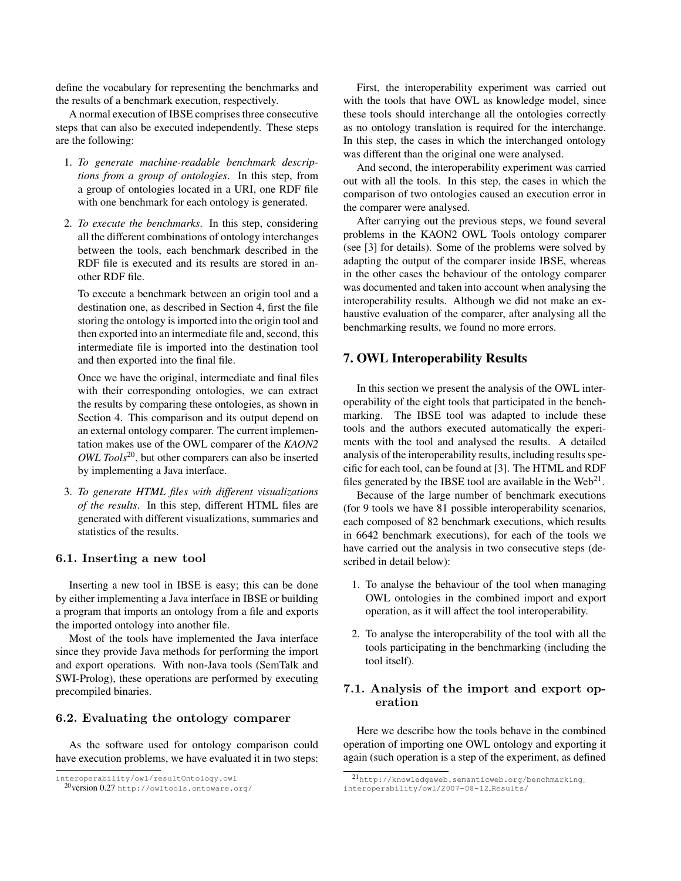define the vocabulary for representing the benchmarks and the results of a benchmark execution, respectively.

A normal execution of IBSE comprises three consecutive steps that can also be executed independently. These steps are the following:

- 1. *To generate machine-readable benchmark descriptions from a group of ontologies*. In this step, from a group of ontologies located in a URI, one RDF file with one benchmark for each ontology is generated.
- 2. *To execute the benchmarks*. In this step, considering all the different combinations of ontology interchanges between the tools, each benchmark described in the RDF file is executed and its results are stored in another RDF file.

To execute a benchmark between an origin tool and a destination one, as described in Section 4, first the file storing the ontology is imported into the origin tool and then exported into an intermediate file and, second, this intermediate file is imported into the destination tool and then exported into the final file.

Once we have the original, intermediate and final files with their corresponding ontologies, we can extract the results by comparing these ontologies, as shown in Section 4. This comparison and its output depend on an external ontology comparer. The current implementation makes use of the OWL comparer of the *KAON2 OWL Tools*<sup>20</sup>, but other comparers can also be inserted by implementing a Java interface.

3. *To generate HTML files with different visualizations of the results*. In this step, different HTML files are generated with different visualizations, summaries and statistics of the results.

#### 6.1. Inserting a new tool

Inserting a new tool in IBSE is easy; this can be done by either implementing a Java interface in IBSE or building a program that imports an ontology from a file and exports the imported ontology into another file.

Most of the tools have implemented the Java interface since they provide Java methods for performing the import and export operations. With non-Java tools (SemTalk and SWI-Prolog), these operations are performed by executing precompiled binaries.

#### 6.2. Evaluating the ontology comparer

As the software used for ontology comparison could have execution problems, we have evaluated it in two steps:

First, the interoperability experiment was carried out with the tools that have OWL as knowledge model, since these tools should interchange all the ontologies correctly as no ontology translation is required for the interchange. In this step, the cases in which the interchanged ontology was different than the original one were analysed.

And second, the interoperability experiment was carried out with all the tools. In this step, the cases in which the comparison of two ontologies caused an execution error in the comparer were analysed.

After carrying out the previous steps, we found several problems in the KAON2 OWL Tools ontology comparer (see [3] for details). Some of the problems were solved by adapting the output of the comparer inside IBSE, whereas in the other cases the behaviour of the ontology comparer was documented and taken into account when analysing the interoperability results. Although we did not make an exhaustive evaluation of the comparer, after analysing all the benchmarking results, we found no more errors.

### 7. OWL Interoperability Results

In this section we present the analysis of the OWL interoperability of the eight tools that participated in the benchmarking. The IBSE tool was adapted to include these tools and the authors executed automatically the experiments with the tool and analysed the results. A detailed analysis of the interoperability results, including results specific for each tool, can be found at [3]. The HTML and RDF files generated by the IBSE tool are available in the  $Web<sup>21</sup>$ .

Because of the large number of benchmark executions (for 9 tools we have 81 possible interoperability scenarios, each composed of 82 benchmark executions, which results in 6642 benchmark executions), for each of the tools we have carried out the analysis in two consecutive steps (described in detail below):

- 1. To analyse the behaviour of the tool when managing OWL ontologies in the combined import and export operation, as it will affect the tool interoperability.
- 2. To analyse the interoperability of the tool with all the tools participating in the benchmarking (including the tool itself).

# 7.1. Analysis of the import and export operation

Here we describe how the tools behave in the combined operation of importing one OWL ontology and exporting it again (such operation is a step of the experiment, as defined

interoperability/owl/resultOntology.owl

<sup>20</sup>version 0.27 http://owltools.ontoware.org/

<sup>21</sup>http://knowledgeweb.semanticweb.org/benchmarking interoperability/owl/2007-08-12 Results/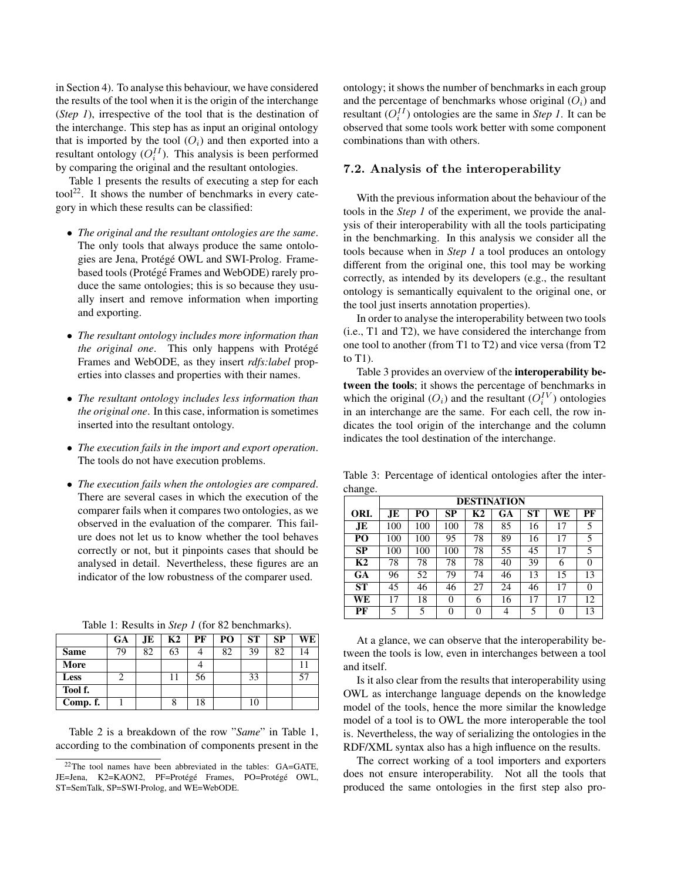in Section 4). To analyse this behaviour, we have considered the results of the tool when it is the origin of the interchange (*Step 1*), irrespective of the tool that is the destination of the interchange. This step has as input an original ontology that is imported by the tool  $(O_i)$  and then exported into a resultant ontology  $(O_i^{II})$ . This analysis is been performed by comparing the original and the resultant ontologies.

Table 1 presents the results of executing a step for each  $\text{tool}^{22}$ . It shows the number of benchmarks in every category in which these results can be classified:

- *The original and the resultant ontologies are the same*. The only tools that always produce the same ontologies are Jena, Protégé OWL and SWI-Prolog. Framebased tools (Protégé Frames and WebODE) rarely produce the same ontologies; this is so because they usually insert and remove information when importing and exporting.
- *The resultant ontology includes more information than the original one.* This only happens with Protégé Frames and WebODE, as they insert *rdfs:label* properties into classes and properties with their names.
- *The resultant ontology includes less information than the original one*. In this case, information is sometimes inserted into the resultant ontology.
- *The execution fails in the import and export operation*. The tools do not have execution problems.
- *The execution fails when the ontologies are compared*. There are several cases in which the execution of the comparer fails when it compares two ontologies, as we observed in the evaluation of the comparer. This failure does not let us to know whether the tool behaves correctly or not, but it pinpoints cases that should be analysed in detail. Nevertheless, these figures are an indicator of the low robustness of the comparer used.

Table 1: Results in *Step 1* (for 82 benchmarks).

|             | <b>GA</b> | JE | K2 | PF | PО | ST | SP | <b>WE</b> |
|-------------|-----------|----|----|----|----|----|----|-----------|
| <b>Same</b> | 79        | 82 | 63 |    | 82 | 39 | 82 | 14        |
| More        |           |    |    |    |    |    |    |           |
| <b>Less</b> |           |    | 11 | 56 |    | 33 |    | 57        |
| Tool f.     |           |    |    |    |    |    |    |           |
| Comp. f.    |           |    |    | 18 |    | 10 |    |           |

Table 2 is a breakdown of the row "*Same*" in Table 1, according to the combination of components present in the ontology; it shows the number of benchmarks in each group and the percentage of benchmarks whose original  $(O_i)$  and resultant  $(O_i^{II})$  ontologies are the same in *Step 1*. It can be observed that some tools work better with some component combinations than with others.

#### 7.2. Analysis of the interoperability

With the previous information about the behaviour of the tools in the *Step 1* of the experiment, we provide the analysis of their interoperability with all the tools participating in the benchmarking. In this analysis we consider all the tools because when in *Step 1* a tool produces an ontology different from the original one, this tool may be working correctly, as intended by its developers (e.g., the resultant ontology is semantically equivalent to the original one, or the tool just inserts annotation properties).

In order to analyse the interoperability between two tools (i.e., T1 and T2), we have considered the interchange from one tool to another (from T1 to T2) and vice versa (from T2 to T1).

Table 3 provides an overview of the interoperability between the tools; it shows the percentage of benchmarks in which the original  $(O_i)$  and the resultant  $(O_i^{\{V\}})$  ontologies in an interchange are the same. For each cell, the row indicates the tool origin of the interchange and the column indicates the tool destination of the interchange.

Table 3: Percentage of identical ontologies after the interchange.

|      | <b>DESTINATION</b> |     |     |                |    |    |    |    |  |
|------|--------------------|-----|-----|----------------|----|----|----|----|--|
| ORI. | .JE                | PO  | SP  | K <sub>2</sub> | GA | ST | WE | PF |  |
| JE   | 100                | 100 | 100 | 78             | 85 | 16 | 17 | 5  |  |
| PО   | 100                | 100 | 95  | 78             | 89 | 16 | 17 | 5  |  |
| SP   | 100                | 100 | 100 | 78             | 55 | 45 | 17 | 5  |  |
| K2   | 78                 | 78  | 78  | 78             | 40 | 39 | 6  |    |  |
| GA   | 96                 | 52  | 79  | 74             | 46 | 13 | 15 | 13 |  |
| SТ   | 45                 | 46  | 46  | 27             | 24 | 46 | 17 |    |  |
| WЕ   | 17                 | 18  | 0   | 6              | 16 | 17 | 17 | 12 |  |
| PF   | 5                  | 5   | 0   |                | 4  | 5  | 0  | 13 |  |

At a glance, we can observe that the interoperability between the tools is low, even in interchanges between a tool and itself.

Is it also clear from the results that interoperability using OWL as interchange language depends on the knowledge model of the tools, hence the more similar the knowledge model of a tool is to OWL the more interoperable the tool is. Nevertheless, the way of serializing the ontologies in the RDF/XML syntax also has a high influence on the results.

The correct working of a tool importers and exporters does not ensure interoperability. Not all the tools that produced the same ontologies in the first step also pro-

 $22$ The tool names have been abbreviated in the tables: GA=GATE, JE=Jena, K2=KAON2, PF=Protégé Frames, PO=Protégé OWL, ST=SemTalk, SP=SWI-Prolog, and WE=WebODE.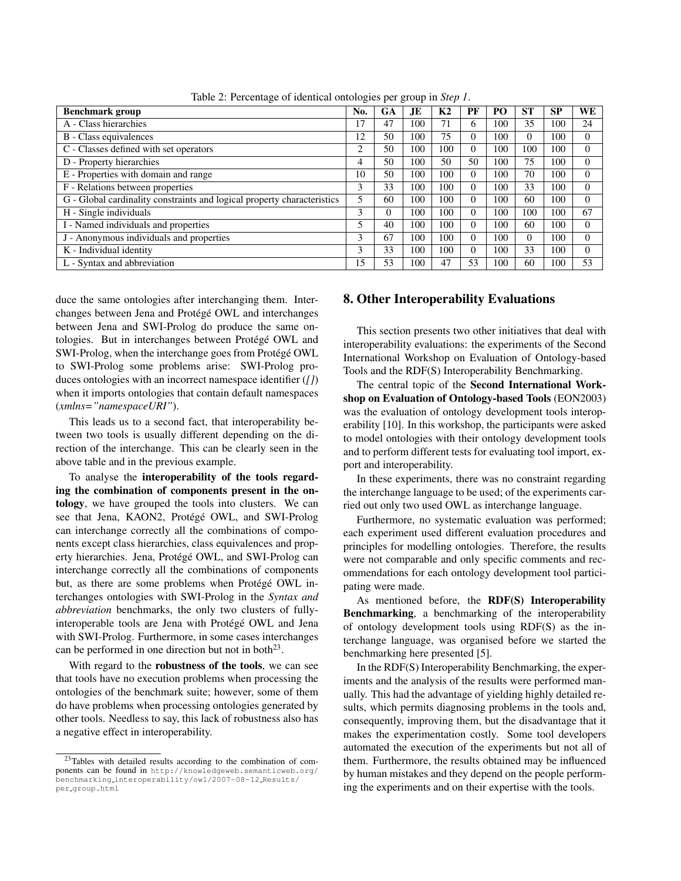| <b>Benchmark</b> group                                                  |                | GA       | JE  | K <sub>2</sub> | PF | PО  | <b>ST</b> | SP  | <b>WE</b>    |
|-------------------------------------------------------------------------|----------------|----------|-----|----------------|----|-----|-----------|-----|--------------|
| A - Class hierarchies                                                   |                | 47       | 100 | 71             | 6  | 100 | 35        | 100 | 24           |
| B - Class equivalences                                                  | 12             | 50       | 100 | 75             | 0  | 100 | $\Omega$  | 100 | $\mathbf{0}$ |
| C - Classes defined with set operators                                  | $\overline{c}$ | 50       | 100 | 100            | 0  | 100 | 100       | 100 | $\Omega$     |
| D - Property hierarchies                                                | 4              | 50       | 100 | 50             | 50 | 100 | 75        | 100 | $\Omega$     |
| E - Properties with domain and range                                    | 10             | 50       | 100 | 100            | 0  | 100 | 70        | 100 | $\Omega$     |
| $\overline{F}$ - Relations between properties                           |                | 33       | 100 | 100            | 0  | 100 | 33        | 100 | $\mathbf{0}$ |
| G - Global cardinality constraints and logical property characteristics | 5              | 60       | 100 | 100            | 0  | 100 | 60        | 100 | $\theta$     |
| H - Single individuals                                                  | 3              | $\Omega$ | 100 | 100            | 0  | 100 | 100       | 100 | 67           |
| I - Named individuals and properties                                    | 5              | 40       | 100 | 100            | 0  | 100 | 60        | 100 | $\Omega$     |
| J - Anonymous individuals and properties                                | 3              | 67       | 100 | 100            | 0  | 100 | $\Omega$  | 100 | $\Omega$     |
| K - Individual identity                                                 | 3              | 33       | 100 | 100            | 0  | 100 | 33        | 100 | $\Omega$     |
| L - Syntax and abbreviation                                             |                | 53       | 100 | 47             | 53 | 100 | 60        | 100 | 53           |

Table 2: Percentage of identical ontologies per group in *Step 1*.

duce the same ontologies after interchanging them. Interchanges between Jena and Protégé OWL and interchanges between Jena and SWI-Prolog do produce the same ontologies. But in interchanges between Protégé OWL and SWI-Prolog, when the interchange goes from Protégé OWL to SWI-Prolog some problems arise: SWI-Prolog produces ontologies with an incorrect namespace identifier (*[]*) when it imports ontologies that contain default namespaces (*xmlns="namespaceURI"*).

This leads us to a second fact, that interoperability between two tools is usually different depending on the direction of the interchange. This can be clearly seen in the above table and in the previous example.

To analyse the interoperability of the tools regarding the combination of components present in the ontology, we have grouped the tools into clusters. We can see that Jena, KAON2, Protégé OWL, and SWI-Prolog can interchange correctly all the combinations of components except class hierarchies, class equivalences and property hierarchies. Jena, Protégé OWL, and SWI-Prolog can interchange correctly all the combinations of components but, as there are some problems when Protégé OWL interchanges ontologies with SWI-Prolog in the *Syntax and abbreviation* benchmarks, the only two clusters of fullyinteroperable tools are Jena with Protégé OWL and Jena with SWI-Prolog. Furthermore, in some cases interchanges can be performed in one direction but not in both $^{23}$ .

With regard to the robustness of the tools, we can see that tools have no execution problems when processing the ontologies of the benchmark suite; however, some of them do have problems when processing ontologies generated by other tools. Needless to say, this lack of robustness also has a negative effect in interoperability.

# 8. Other Interoperability Evaluations

This section presents two other initiatives that deal with interoperability evaluations: the experiments of the Second International Workshop on Evaluation of Ontology-based Tools and the RDF(S) Interoperability Benchmarking.

The central topic of the Second International Workshop on Evaluation of Ontology-based Tools (EON2003) was the evaluation of ontology development tools interoperability [10]. In this workshop, the participants were asked to model ontologies with their ontology development tools and to perform different tests for evaluating tool import, export and interoperability.

In these experiments, there was no constraint regarding the interchange language to be used; of the experiments carried out only two used OWL as interchange language.

Furthermore, no systematic evaluation was performed; each experiment used different evaluation procedures and principles for modelling ontologies. Therefore, the results were not comparable and only specific comments and recommendations for each ontology development tool participating were made.

As mentioned before, the RDF(S) Interoperability Benchmarking, a benchmarking of the interoperability of ontology development tools using RDF(S) as the interchange language, was organised before we started the benchmarking here presented [5].

In the RDF(S) Interoperability Benchmarking, the experiments and the analysis of the results were performed manually. This had the advantage of yielding highly detailed results, which permits diagnosing problems in the tools and, consequently, improving them, but the disadvantage that it makes the experimentation costly. Some tool developers automated the execution of the experiments but not all of them. Furthermore, the results obtained may be influenced by human mistakes and they depend on the people performing the experiments and on their expertise with the tools.

<sup>23</sup>Tables with detailed results according to the combination of components can be found in http://knowledgeweb.semanticweb.org/ benchmarking interoperability/owl/2007-08-12 Results/ per\_group.html